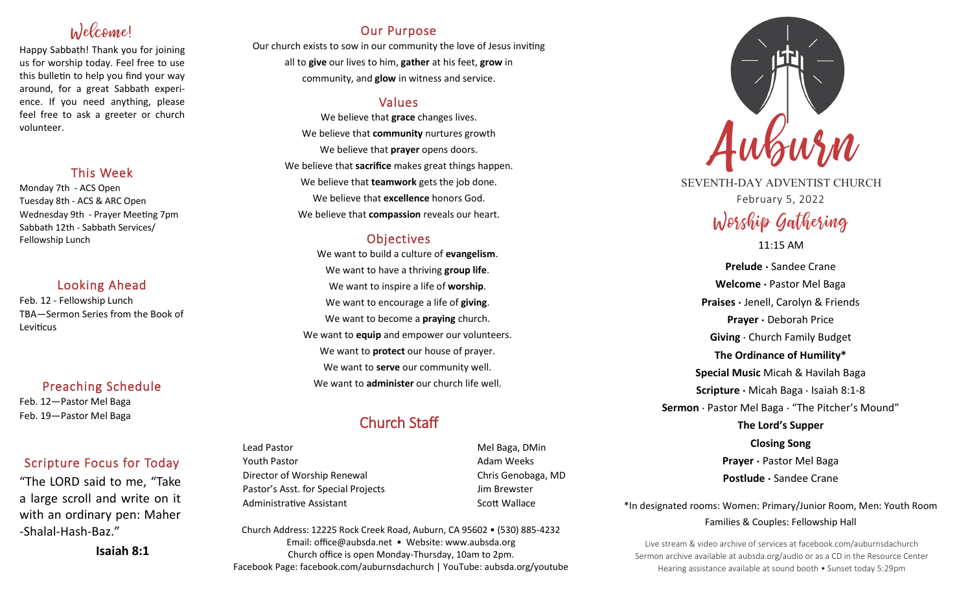# Welcome!

Happy Sabbath! Thank you for joining us for worship today. Feel free to use this bulletin to help you find your way around, for a great Sabbath experience. If you need anything, please feel free to ask a greeter or church volunteer.

## This Week

Monday 7th - ACS Open Tuesday 8th - ACS & ARC Open Wednesday 9th - Prayer Meeting 7pm Sabbath 12th - Sabbath Services/ Fellowship Lunch

## Looking Ahead

Feb. 12 - Fellowship Lunch TBA—Sermon Series from the Book of Leviticus

## Preaching Schedule

Feb. 12—Pastor Mel Baga Feb. 19—Pastor Mel Baga

## Scripture Focus for Today

"The LORD said to me, "Take a large scroll and write on it with an ordinary pen: Maher -Shalal-Hash-Baz."

**Isaiah 8:1**

## Our Purpose

Our church exists to sow in our community the love of Jesus inviting all to **give** our lives to him, **gather** at his feet, **grow** in community, and **glow** in witness and service.

## Values

We believe that **grace** changes lives. We believe that **community** nurtures growth We believe that **prayer** opens doors. We believe that **sacrifice** makes great things happen. We believe that **teamwork** gets the job done. We believe that **excellence** honors God. We believe that **compassion** reveals our heart.

## **Objectives**

We want to build a culture of **evangelism**. We want to have a thriving **group life**. We want to inspire a life of **worship**. We want to encourage a life of **giving**. We want to become a **praying** church. We want to **equip** and empower our volunteers. We want to **protect** our house of prayer. We want to **serve** our community well. We want to **administer** our church life well.

## Church Staff

Lead Pastor Nell Baga, DMin Youth Pastor **Adam Weeks Adam Weeks** Director of Worship Renewal Chris Genobaga, MD Pastor's Asst. for Special Projects Fig. 3.1 Jim Brewster Administrative Assistant National Controllery Scott Wallace

Church Address: 12225 Rock Creek Road, Auburn, CA 95602 • (530) 885-4232 Email: office@aubsda.net • Website: www.aubsda.org Church office is open Monday-Thursday, 10am to 2pm. Facebook Page: facebook.com/auburnsdachurch | YouTube: aubsda.org/youtube



SEVENTH-DAY ADVENTIST CHURCH February 5, 2022

# Worship Gathering

### 11:15 AM

**Prelude ·** Sandee Crane **Welcome ·** Pastor Mel Baga **Praises ·** Jenell, Carolyn & Friends **Prayer ·** Deborah Price **Giving** · Church Family Budget **The Ordinance of Humility\* Special Music** Micah & Havilah Baga **Scripture ·** Micah Baga · Isaiah 8:1-8 **Sermon** · Pastor Mel Baga · "The Pitcher's Mound" **The Lord's Supper Closing Song Prayer ·** Pastor Mel Baga **Postlude ·** Sandee Crane

\*In designated rooms: Women: Primary/Junior Room, Men: Youth Room Families & Couples: Fellowship Hall

Live stream & video archive of services at facebook.com/auburnsdachurch Sermon archive available at aubsda.org/audio or as a CD in the Resource Center Hearing assistance available at sound booth • Sunset today 5:29pm